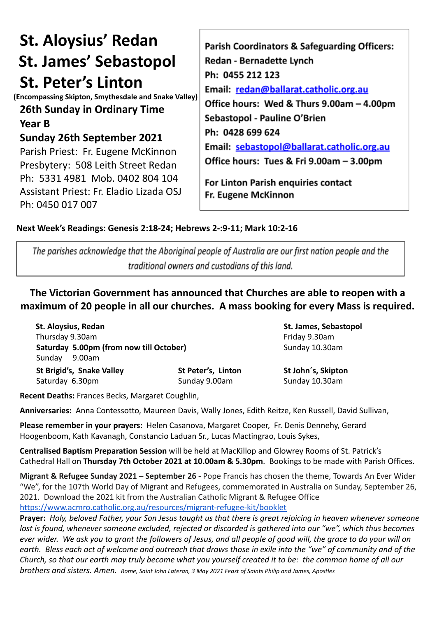# **St. Aloysius' Redan St. James' Sebastopol St. Peter's Linton**

**(Encompassing Skipton, Smythesdale and Snake Valley)**

### **26th Sunday in Ordinary Time Year B**

## **Sunday 26th September 2021**

Parish Priest: Fr. Eugene McKinnon Presbytery: 508 Leith Street Redan Ph: 5331 4981 Mob. 0402 804 104 Assistant Priest: Fr. Eladio Lizada OSJ Ph: 0450 017 007

Parish Coordinators & Safeguarding Officers: **Redan - Bernadette Lynch** Ph: 0455 212 123 Email: redan@ballarat.catholic.org.au Office hours: Wed & Thurs 9.00am - 4.00pm Sebastopol - Pauline O'Brien Ph: 0428 699 624 Email: sebastopol@ballarat.catholic.org.au Office hours: Tues & Fri 9.00am - 3.00pm

For Linton Parish enquiries contact Fr. Eugene McKinnon

#### **Next Week's Readings: Genesis 2:18-24; Hebrews 2-:9-11; Mark 10:2-16**

The parishes acknowledge that the Aboriginal people of Australia are our first nation people and the traditional owners and custodians of this land.

**The Victorian Government has announced that Churches are able to reopen with a maximum of 20 people in all our churches. A mass booking for every Mass is required.**

**St. Aloysius, Redan St. James, Sebastopol** Thursday 9.30am **Friday 9.30am Saturday 5.00pm (from now till October)** Sunday 10.30am Sunday 9.00am **St Brigid's, Snake Valley St Peter's, Linton St John´s, Skipton**

Saturday 6.30pm Sunday 9.00am Sunday 9.00am

**Recent Deaths:** Frances Becks, Margaret Coughlin,

**Anniversaries:** Anna Contessotto, Maureen Davis, Wally Jones, Edith Reitze, Ken Russell, David Sullivan,

**Please remember in your prayers:** Helen Casanova, Margaret Cooper, Fr. Denis Dennehy, Gerard Hoogenboom, Kath Kavanagh, Constancio Laduan Sr., Lucas Mactingrao, Louis Sykes,

**Centralised Baptism Preparation Session** will be held at MacKillop and Glowrey Rooms of St. Patrick's Cathedral Hall on **Thursday 7th October 2021 at 10.00am & 5.30pm**. Bookings to be made with Parish Offices.

**Migrant & Refugee Sunday 2021 – September 26 -** Pope Francis has chosen the theme, Towards An Ever Wider "We", for the 107th World Day of Migrant and Refugees, commemorated in Australia on Sunday, September 26, 2021. Download the 2021 kit from the Australian Catholic Migrant & Refugee Office <https://www.acmro.catholic.org.au/resources/migrant-refugee-kit/booklet>

**Prayer:** *Holy, beloved Father, your Son Jesus taught us that there is great rejoicing in heaven whenever someone lost is found, whenever someone excluded, rejected or discarded is gathered into our "we", which thus becomes ever wider. We ask you to grant the followers of Jesus, and all people of good will, the grace to do your will on earth. Bless each act of welcome and outreach that draws those in exile into the "we" of community and of the Church, so that our earth may truly become what you yourself created it to be: the common home of all our brothers and sisters. Amen. Rome, Saint John Lateran, 3 May 2021 Feast of Saints Philip and James, Apostles*